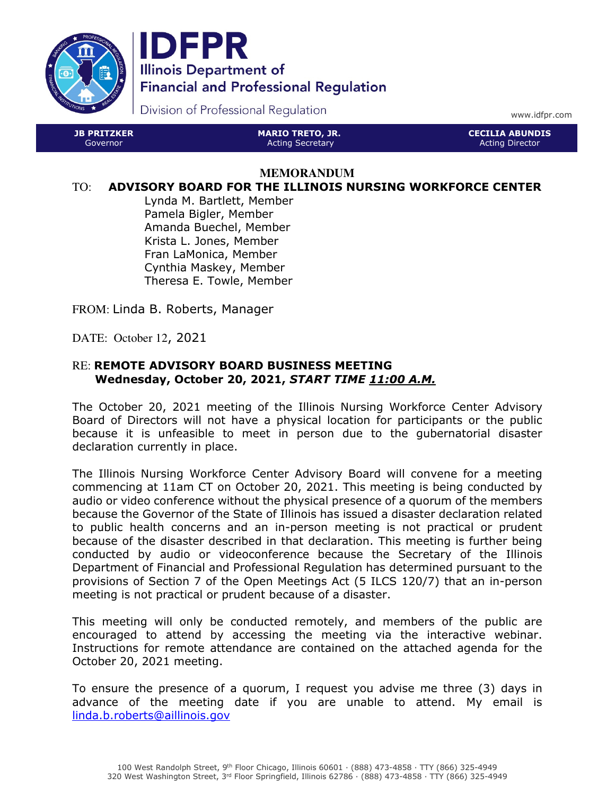



Division of Professional Regulation

www.idfpr.com

JB PRITZKER Governor MARIO TRETO, JR. Acting Secretary CECILIA ABUNDIS Acting Director

#### **MEMORANDUM**

#### TO: ADVISORY BOARD FOR THE ILLINOIS NURSING WORKFORCE CENTER

Lynda M. Bartlett, Member Pamela Bigler, Member Amanda Buechel, Member Krista L. Jones, Member Fran LaMonica, Member Cynthia Maskey, Member Theresa E. Towle, Member

FROM: Linda B. Roberts, Manager

DATE: October 12, 2021

### RE: REMOTE ADVISORY BOARD BUSINESS MEETING Wednesday, October 20, 2021, START TIME 11:00 A.M.

The October 20, 2021 meeting of the Illinois Nursing Workforce Center Advisory Board of Directors will not have a physical location for participants or the public because it is unfeasible to meet in person due to the gubernatorial disaster declaration currently in place.

The Illinois Nursing Workforce Center Advisory Board will convene for a meeting commencing at 11am CT on October 20, 2021. This meeting is being conducted by audio or video conference without the physical presence of a quorum of the members because the Governor of the State of Illinois has issued a disaster declaration related to public health concerns and an in-person meeting is not practical or prudent because of the disaster described in that declaration. This meeting is further being conducted by audio or videoconference because the Secretary of the Illinois Department of Financial and Professional Regulation has determined pursuant to the provisions of Section 7 of the Open Meetings Act (5 ILCS 120/7) that an in-person meeting is not practical or prudent because of a disaster.

This meeting will only be conducted remotely, and members of the public are encouraged to attend by accessing the meeting via the interactive webinar. Instructions for remote attendance are contained on the attached agenda for the October 20, 2021 meeting.

To ensure the presence of a quorum, I request you advise me three (3) days in advance of the meeting date if you are unable to attend. My email is linda.b.roberts@aillinois.gov